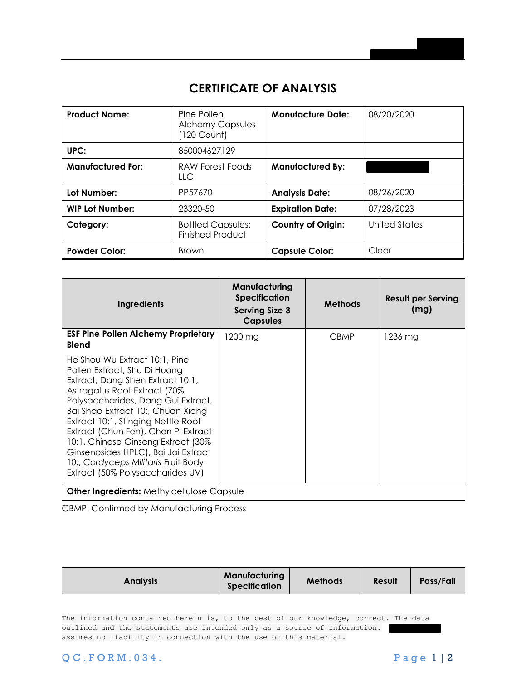## **CERTIFICATE OF ANALYSIS**

| <b>Product Name:</b>     | Pine Pollen<br><b>Alchemy Capsules</b><br>$(120$ Count) | <b>Manufacture Date:</b>  | 08/20/2020           |
|--------------------------|---------------------------------------------------------|---------------------------|----------------------|
| UPC:                     | 850004627129                                            |                           |                      |
| <b>Manufactured For:</b> | RAW Forest Foods<br><b>LLC</b>                          | <b>Manufactured By:</b>   |                      |
| Lot Number:              | PP57670                                                 | <b>Analysis Date:</b>     | 08/26/2020           |
| <b>WIP Lot Number:</b>   | 23320-50                                                | <b>Expiration Date:</b>   | 07/28/2023           |
| Category:                | <b>Bottled Capsules;</b><br><b>Finished Product</b>     | <b>Country of Origin:</b> | <b>United States</b> |
| <b>Powder Color:</b>     | <b>Brown</b>                                            | <b>Capsule Color:</b>     | Clear                |

| <b>Ingredients</b>                                                                                                                                                                                                                                                                                                                                                                                                                                 | Manufacturing<br><b>Specification</b><br><b>Serving Size 3</b><br><b>Capsules</b> | <b>Methods</b> | <b>Result per Serving</b><br>(mg) |  |  |
|----------------------------------------------------------------------------------------------------------------------------------------------------------------------------------------------------------------------------------------------------------------------------------------------------------------------------------------------------------------------------------------------------------------------------------------------------|-----------------------------------------------------------------------------------|----------------|-----------------------------------|--|--|
| <b>ESF Pine Pollen Alchemy Proprietary</b><br><b>Blend</b>                                                                                                                                                                                                                                                                                                                                                                                         | 1200 mg                                                                           | <b>CBMP</b>    | 1236 mg                           |  |  |
| He Shou Wu Extract 10:1, Pine<br>Pollen Extract, Shu Di Huang<br>Extract, Dang Shen Extract 10:1,<br>Astragalus Root Extract (70%<br>Polysaccharides, Dang Gui Extract,<br>Bai Shao Extract 10:, Chuan Xiong<br>Extract 10:1, Stinging Nettle Root<br>Extract (Chun Fen), Chen Pi Extract<br>10:1, Chinese Ginseng Extract (30%)<br>Ginsenosides HPLC), Bai Jai Extract<br>10:, Cordyceps Militaris Fruit Body<br>Extract (50% Polysaccharides UV) |                                                                                   |                |                                   |  |  |
| <b>Other Ingredients: Methylcellulose Capsule</b>                                                                                                                                                                                                                                                                                                                                                                                                  |                                                                                   |                |                                   |  |  |

CBMP: Confirmed by Manufacturing Process

|--|

The information contained herein is, to the best of our knowledge, correct. The data outlined and the statements are intended only as a source of information. assumes no liability in connection with the use of this material.

Q C . F O R M . 034. P a g e 1 | 2